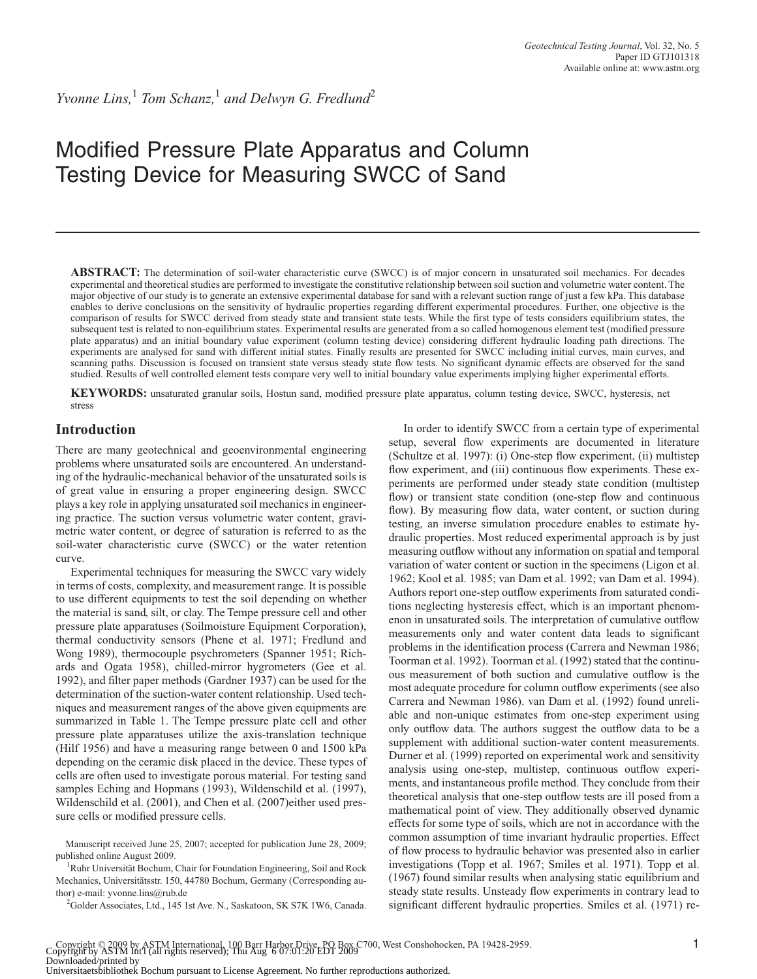# Modified Pressure Plate Apparatus and Column Testing Device for Measuring SWCC of Sand

**ABSTRACT:** The determination of soil-water characteristic curve (SWCC) is of major concern in unsaturated soil mechanics. For decades experimental and theoretical studies are performed to investigate the constitutive relationship between soil suction and volumetric water content. The major objective of our study is to generate an extensive experimental database for sand with a relevant suction range of just a few kPa. This database enables to derive conclusions on the sensitivity of hydraulic properties regarding different experimental procedures. Further, one objective is the comparison of results for SWCC derived from steady state and transient state tests. While the first type of tests considers equilibrium states, the subsequent test is related to non-equilibrium states. Experimental results are generated from a so called homogenous element test (modified pressure plate apparatus) and an initial boundary value experiment (column testing device) considering different hydraulic loading path directions. The experiments are analysed for sand with different initial states. Finally results are presented for SWCC including initial curves, main curves, and scanning paths. Discussion is focused on transient state versus steady state flow tests. No significant dynamic effects are observed for the sand studied. Results of well controlled element tests compare very well to initial boundary value experiments implying higher experimental efforts.

**KEYWORDS:** unsaturated granular soils, Hostun sand, modified pressure plate apparatus, column testing device, SWCC, hysteresis, net stress

#### **Introduction**

There are many geotechnical and geoenvironmental engineering problems where unsaturated soils are encountered. An understanding of the hydraulic-mechanical behavior of the unsaturated soils is of great value in ensuring a proper engineering design. SWCC plays a key role in applying unsaturated soil mechanics in engineering practice. The suction versus volumetric water content, gravimetric water content, or degree of saturation is referred to as the soil-water characteristic curve (SWCC) or the water retention curve.

Experimental techniques for measuring the SWCC vary widely in terms of costs, complexity, and measurement range. It is possible to use different equipments to test the soil depending on whether the material is sand, silt, or clay. The Tempe pressure cell and other pressure plate apparatuses (Soilmoisture Equipment Corporation), thermal conductivity sensors (Phene et al. 1971; Fredlund and Wong 1989), thermocouple psychrometers (Spanner 1951; Richards and Ogata 1958), chilled-mirror hygrometers (Gee et al. 1992), and filter paper methods (Gardner 1937) can be used for the determination of the suction-water content relationship. Used techniques and measurement ranges of the above given equipments are summarized in Table 1. The Tempe pressure plate cell and other pressure plate apparatuses utilize the axis-translation technique (Hilf 1956) and have a measuring range between 0 and 1500 kPa depending on the ceramic disk placed in the device. These types of cells are often used to investigate porous material. For testing sand samples Eching and Hopmans (1993), Wildenschild et al. (1997), Wildenschild et al. (2001), and Chen et al. (2007)either used pressure cells or modified pressure cells.

Manuscript received June 25, 2007; accepted for publication June 28, 2009; published online August 2009.

<sup>1</sup>Ruhr Universität Bochum, Chair for Foundation Engineering, Soil and Rock Mechanics, Universitätsstr. 150, 44780 Bochum, Germany (Corresponding author) e-mail: yvonne.lins@rub.de

<sup>2</sup>Golder Associates, Ltd., 145 1st Ave. N., Saskatoon, SK S7K 1W6, Canada.

In order to identify SWCC from a certain type of experimental setup, several flow experiments are documented in literature (Schultze et al. 1997): (i) One-step flow experiment, (ii) multistep flow experiment, and (iii) continuous flow experiments. These experiments are performed under steady state condition (multistep flow) or transient state condition (one-step flow and continuous flow). By measuring flow data, water content, or suction during testing, an inverse simulation procedure enables to estimate hydraulic properties. Most reduced experimental approach is by just measuring outflow without any information on spatial and temporal variation of water content or suction in the specimens (Ligon et al. 1962; Kool et al. 1985; van Dam et al. 1992; van Dam et al. 1994). Authors report one-step outflow experiments from saturated conditions neglecting hysteresis effect, which is an important phenomenon in unsaturated soils. The interpretation of cumulative outflow measurements only and water content data leads to significant problems in the identification process (Carrera and Newman 1986; Toorman et al. 1992). Toorman et al. (1992) stated that the continuous measurement of both suction and cumulative outflow is the most adequate procedure for column outflow experiments (see also Carrera and Newman 1986). van Dam et al. (1992) found unreliable and non-unique estimates from one-step experiment using only outflow data. The authors suggest the outflow data to be a supplement with additional suction-water content measurements. Durner et al. (1999) reported on experimental work and sensitivity analysis using one-step, multistep, continuous outflow experiments, and instantaneous profile method. They conclude from their theoretical analysis that one-step outflow tests are ill posed from a mathematical point of view. They additionally observed dynamic effects for some type of soils, which are not in accordance with the common assumption of time invariant hydraulic properties. Effect of flow process to hydraulic behavior was presented also in earlier investigations (Topp et al. 1967; Smiles et al. 1971). Topp et al. (1967) found similar results when analysing static equilibrium and steady state results. Unsteady flow experiments in contrary lead to significant different hydraulic properties. Smiles et al. (1971) re-

Copyright © 2009 by ASTM International, 100 Barr Harbor Drive, PO Box C700, West Conshohocken, PA 19428-2959.<br>Copyright by ASTM Int'l (all rights reserved); Thu Aug 6 07:01:20 EDT 2009 Downloaded/printed by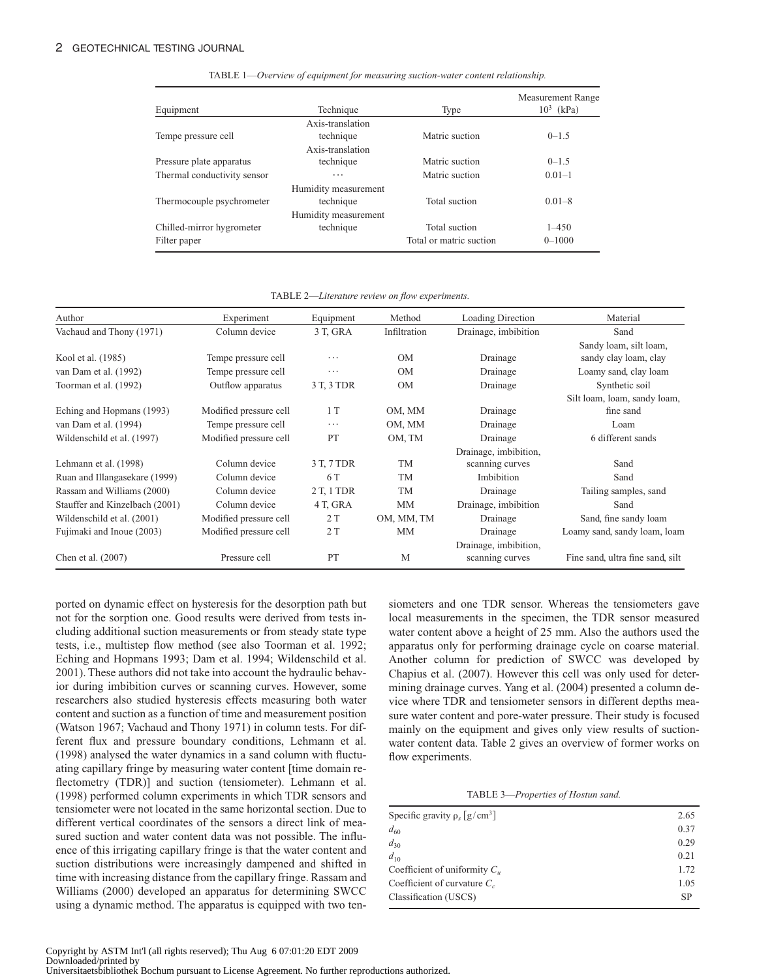|                             | Technique            |                         | Measurement Range<br>$10^3$ (kPa) |
|-----------------------------|----------------------|-------------------------|-----------------------------------|
| Equipment                   |                      | Type                    |                                   |
|                             | Axis-translation     |                         |                                   |
| Tempe pressure cell         | technique            | Matric suction          | $0 - 1.5$                         |
|                             | Axis-translation     |                         |                                   |
| Pressure plate apparatus    | technique            | Matric suction          | $0 - 1.5$                         |
| Thermal conductivity sensor | $\cdots$             | Matric suction          | $0.01 - 1$                        |
|                             | Humidity measurement |                         |                                   |
| Thermocouple psychrometer   | technique            | Total suction           | $0.01 - 8$                        |
|                             | Humidity measurement |                         |                                   |
| Chilled-mirror hygrometer   | technique            | Total suction           | $1 - 450$                         |
| Filter paper                |                      | Total or matric suction | $0 - 1000$                        |

TABLE 1—*Overview of equipment for measuring suction-water content relationship.*

TABLE 2—*Literature review on flow experiments.*

| Author                         | Experiment             | Equipment  | Method       | Loading Direction             | Material                         |
|--------------------------------|------------------------|------------|--------------|-------------------------------|----------------------------------|
| Vachaud and Thony (1971)       | Column device          | 3 T, GRA   | Infiltration | Drainage, imbibition          | Sand                             |
|                                |                        |            |              |                               | Sandy loam, silt loam,           |
| Kool et al. (1985)             | Tempe pressure cell    | .          | <b>OM</b>    | Drainage                      | sandy clay loam, clay            |
| van Dam et al. (1992)          | Tempe pressure cell    | $\cdots$   | <b>OM</b>    | Drainage                      | Loamy sand, clay loam            |
| Toorman et al. (1992)          | Outflow apparatus      | 3 T, 3 TDR | <b>OM</b>    | Drainage                      | Synthetic soil                   |
|                                |                        |            |              |                               | Silt loam, loam, sandy loam,     |
| Eching and Hopmans (1993)      | Modified pressure cell | 1T         | OM, MM       | Drainage                      | fine sand                        |
| van Dam et al. (1994)          | Tempe pressure cell    | $\cdots$   | OM, MM       | Drainage                      | Loam                             |
| Wildenschild et al. (1997)     | Modified pressure cell | PT         | OM, TM       | 6 different sands<br>Drainage |                                  |
|                                |                        |            |              | Drainage, imbibition,         |                                  |
| Lehmann et al. (1998)          | Column device          | 3 T, 7 TDR | TM           | scanning curves               | Sand                             |
| Ruan and Illangasekare (1999)  | Column device          | 6 T        | <b>TM</b>    | Imbibition                    | Sand                             |
| Rassam and Williams (2000)     | Column device          | 2 T, 1 TDR | <b>TM</b>    | Drainage                      | Tailing samples, sand            |
| Stauffer and Kinzelbach (2001) | Column device          | 4 T, GRA   | <b>MM</b>    | Drainage, imbibition          | Sand                             |
| Wildenschild et al. (2001)     | Modified pressure cell | 2T         | OM, MM, TM   | Drainage                      | Sand, fine sandy loam            |
| Fujimaki and Inoue (2003)      | Modified pressure cell | 2T         | MМ           | Drainage                      | Loamy sand, sandy loam, loam     |
|                                |                        |            |              | Drainage, imbibition,         |                                  |
| Chen et al. (2007)             | Pressure cell          | PT         | M            | scanning curves               | Fine sand, ultra fine sand, silt |

ported on dynamic effect on hysteresis for the desorption path but not for the sorption one. Good results were derived from tests including additional suction measurements or from steady state type tests, i.e., multistep flow method (see also Toorman et al. 1992; Eching and Hopmans 1993; Dam et al. 1994; Wildenschild et al. 2001). These authors did not take into account the hydraulic behavior during imbibition curves or scanning curves. However, some researchers also studied hysteresis effects measuring both water content and suction as a function of time and measurement position (Watson 1967; Vachaud and Thony 1971) in column tests. For different flux and pressure boundary conditions, Lehmann et al. (1998) analysed the water dynamics in a sand column with fluctuating capillary fringe by measuring water content [time domain reflectometry (TDR)] and suction (tensiometer). Lehmann et al. (1998) performed column experiments in which TDR sensors and tensiometer were not located in the same horizontal section. Due to different vertical coordinates of the sensors a direct link of measured suction and water content data was not possible. The influence of this irrigating capillary fringe is that the water content and suction distributions were increasingly dampened and shifted in time with increasing distance from the capillary fringe. Rassam and Williams (2000) developed an apparatus for determining SWCC using a dynamic method. The apparatus is equipped with two tensiometers and one TDR sensor. Whereas the tensiometers gave local measurements in the specimen, the TDR sensor measured water content above a height of 25 mm. Also the authors used the apparatus only for performing drainage cycle on coarse material. Another column for prediction of SWCC was developed by Chapius et al. (2007). However this cell was only used for determining drainage curves. Yang et al. (2004) presented a column device where TDR and tensiometer sensors in different depths measure water content and pore-water pressure. Their study is focused mainly on the equipment and gives only view results of suctionwater content data. Table 2 gives an overview of former works on flow experiments.

TABLE 3—*Properties of Hostun sand.*

| Specific gravity $\rho$ , $\lceil g/cm^3 \rceil$ | 2.65      |
|--------------------------------------------------|-----------|
| $d_{60}$                                         | 0.37      |
| $d_{30}$                                         | 0.29      |
| $d_{10}$                                         | 0.21      |
| Coefficient of uniformity $C_u$                  | 1.72      |
| Coefficient of curvature $C_c$                   | 1.05      |
| Classification (USCS)                            | <b>SP</b> |
|                                                  |           |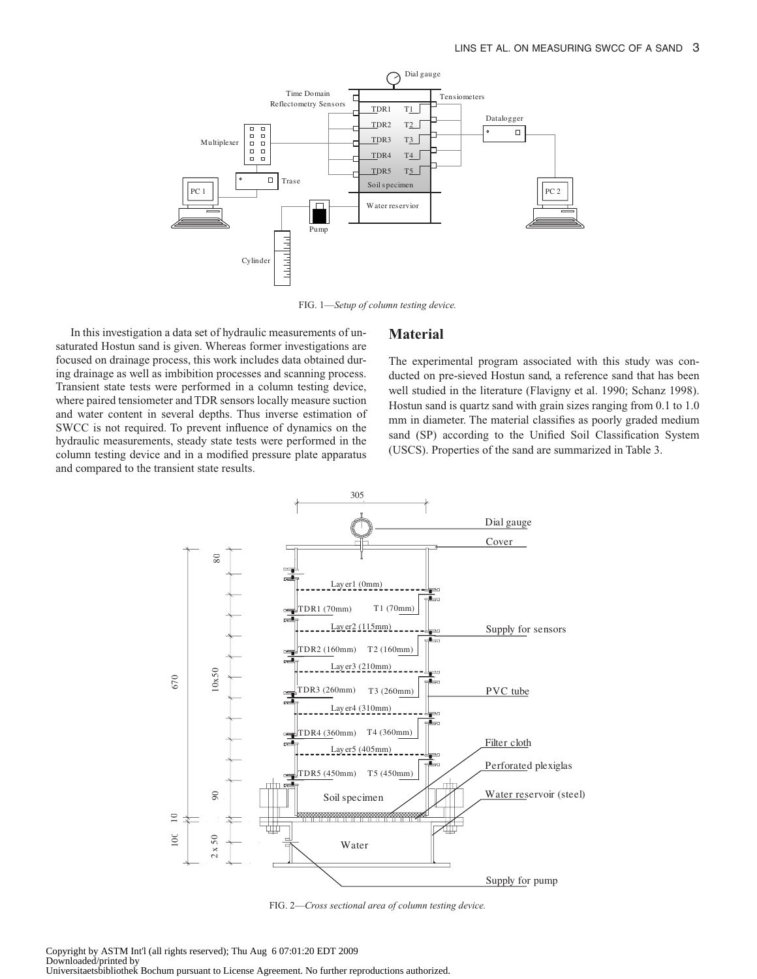

FIG. 1—*Setup of column testing device.*

In this investigation a data set of hydraulic measurements of unsaturated Hostun sand is given. Whereas former investigations are focused on drainage process, this work includes data obtained during drainage as well as imbibition processes and scanning process. Transient state tests were performed in a column testing device, where paired tensiometer and TDR sensors locally measure suction and water content in several depths. Thus inverse estimation of SWCC is not required. To prevent influence of dynamics on the hydraulic measurements, steady state tests were performed in the column testing device and in a modified pressure plate apparatus and compared to the transient state results.

#### **Material**

The experimental program associated with this study was conducted on pre-sieved Hostun sand, a reference sand that has been well studied in the literature (Flavigny et al. 1990; Schanz 1998). Hostun sand is quartz sand with grain sizes ranging from 0.1 to 1.0 mm in diameter. The material classifies as poorly graded medium sand (SP) according to the Unified Soil Classification System (USCS). Properties of the sand are summarized in Table 3.



FIG. 2—*Cross sectional area of column testing device.*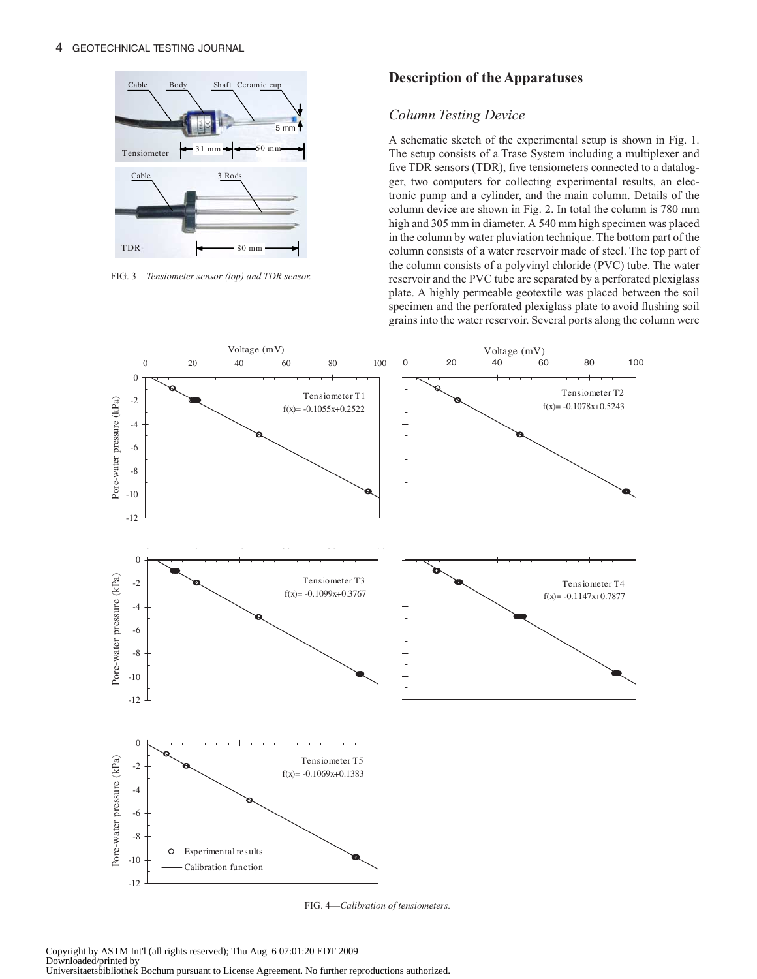

FIG. 3—*Tensiometer sensor (top) and TDR sensor.*

#### **Description of the Apparatuses**

## *Column Testing Device*

A schematic sketch of the experimental setup is shown in Fig. 1. The setup consists of a Trase System including a multiplexer and five TDR sensors (TDR), five tensiometers connected to a datalogger, two computers for collecting experimental results, an electronic pump and a cylinder, and the main column. Details of the column device are shown in Fig. 2. In total the column is 780 mm high and 305 mm in diameter. A 540 mm high specimen was placed in the column by water pluviation technique. The bottom part of the column consists of a water reservoir made of steel. The top part of the column consists of a polyvinyl chloride (PVC) tube. The water reservoir and the PVC tube are separated by a perforated plexiglass plate. A highly permeable geotextile was placed between the soil specimen and the perforated plexiglass plate to avoid flushing soil grains into the water reservoir. Several ports along the column were



FIG. 4—*Calibration of tensiometers.*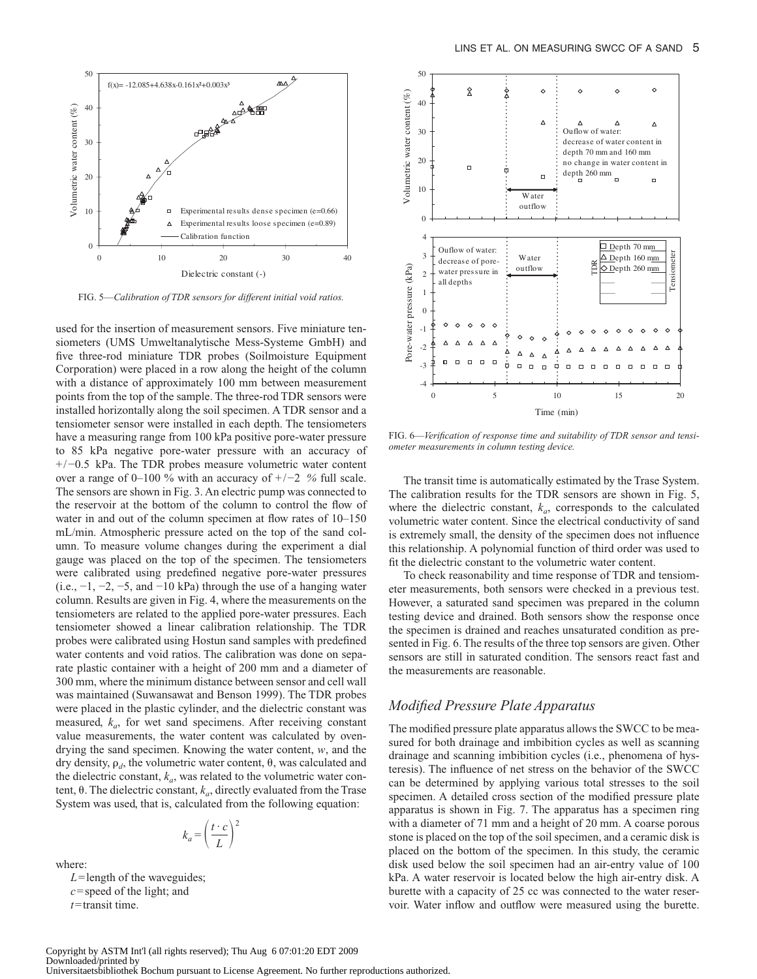

FIG. 5—*Calibration of TDR sensors for different initial void ratios.*

used for the insertion of measurement sensors. Five miniature tensiometers (UMS Umweltanalytische Mess-Systeme GmbH) and five three-rod miniature TDR probes (Soilmoisture Equipment Corporation) were placed in a row along the height of the column with a distance of approximately 100 mm between measurement points from the top of the sample. The three-rod TDR sensors were installed horizontally along the soil specimen. A TDR sensor and a tensiometer sensor were installed in each depth. The tensiometers have a measuring range from 100 kPa positive pore-water pressure to 85 kPa negative pore-water pressure with an accuracy of +/−0.5 kPa. The TDR probes measure volumetric water content over a range of 0–100 % with an accuracy of +/−2 *%* full scale. The sensors are shown in Fig. 3. An electric pump was connected to the reservoir at the bottom of the column to control the flow of water in and out of the column specimen at flow rates of 10–150 mL/min. Atmospheric pressure acted on the top of the sand column. To measure volume changes during the experiment a dial gauge was placed on the top of the specimen. The tensiometers were calibrated using predefined negative pore-water pressures (i.e.,  $-1$ ,  $-2$ ,  $-5$ , and  $-10$  kPa) through the use of a hanging water column. Results are given in Fig. 4, where the measurements on the tensiometers are related to the applied pore-water pressures. Each tensiometer showed a linear calibration relationship. The TDR probes were calibrated using Hostun sand samples with predefined water contents and void ratios. The calibration was done on separate plastic container with a height of 200 mm and a diameter of 300 mm, where the minimum distance between sensor and cell wall was maintained (Suwansawat and Benson 1999). The TDR probes were placed in the plastic cylinder, and the dielectric constant was measured,  $k_a$ , for wet sand specimens. After receiving constant value measurements, the water content was calculated by ovendrying the sand specimen. Knowing the water content, *w*, and the dry density,  $\rho_d$ , the volumetric water content,  $\theta$ , was calculated and the dielectric constant,  $k_a$ , was related to the volumetric water content,  $\theta$ . The dielectric constant,  $k_a$ , directly evaluated from the Trase System was used, that is, calculated from the following equation:

$$
k_a = \left(\frac{t \cdot c}{L}\right)
$$

where:

*L*=length of the waveguides; *c*= speed of the light; and *t*=transit time.



FIG. 6—*Verification of response time and suitability of TDR sensor and tensiometer measurements in column testing device.*

The transit time is automatically estimated by the Trase System. The calibration results for the TDR sensors are shown in Fig. 5, where the dielectric constant,  $k_a$ , corresponds to the calculated volumetric water content. Since the electrical conductivity of sand is extremely small, the density of the specimen does not influence this relationship. A polynomial function of third order was used to fit the dielectric constant to the volumetric water content.

To check reasonability and time response of TDR and tensiometer measurements, both sensors were checked in a previous test. However, a saturated sand specimen was prepared in the column testing device and drained. Both sensors show the response once the specimen is drained and reaches unsaturated condition as presented in Fig. 6. The results of the three top sensors are given. Other sensors are still in saturated condition. The sensors react fast and the measurements are reasonable.

#### *Modified Pressure Plate Apparatus*

The modified pressure plate apparatus allows the SWCC to be measured for both drainage and imbibition cycles as well as scanning drainage and scanning imbibition cycles (i.e., phenomena of hysteresis). The influence of net stress on the behavior of the SWCC can be determined by applying various total stresses to the soil specimen. A detailed cross section of the modified pressure plate apparatus is shown in Fig. 7. The apparatus has a specimen ring with a diameter of 71 mm and a height of 20 mm. A coarse porous stone is placed on the top of the soil specimen, and a ceramic disk is placed on the bottom of the specimen. In this study, the ceramic disk used below the soil specimen had an air-entry value of 100 kPa. A water reservoir is located below the high air-entry disk. A burette with a capacity of 25 cc was connected to the water reservoir. Water inflow and outflow were measured using the burette.

2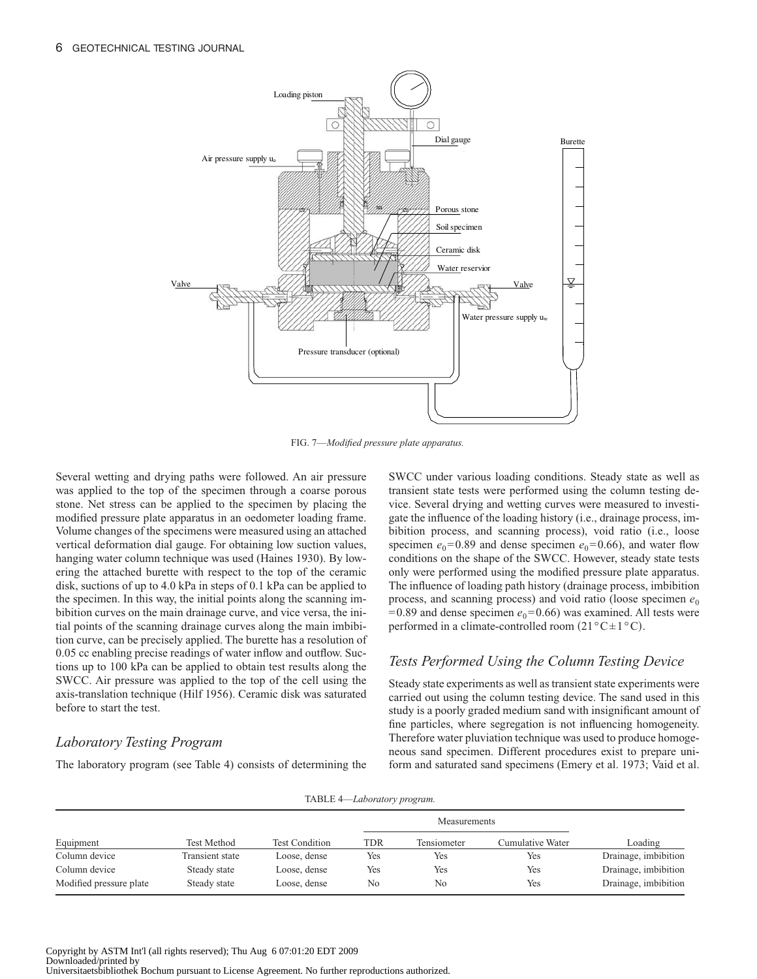

FIG. 7—*Modified pressure plate apparatus.*

Several wetting and drying paths were followed. An air pressure was applied to the top of the specimen through a coarse porous stone. Net stress can be applied to the specimen by placing the modified pressure plate apparatus in an oedometer loading frame. Volume changes of the specimens were measured using an attached vertical deformation dial gauge. For obtaining low suction values, hanging water column technique was used (Haines 1930). By lowering the attached burette with respect to the top of the ceramic disk, suctions of up to 4.0 kPa in steps of 0.1 kPa can be applied to the specimen. In this way, the initial points along the scanning imbibition curves on the main drainage curve, and vice versa, the initial points of the scanning drainage curves along the main imbibition curve, can be precisely applied. The burette has a resolution of 0.05 cc enabling precise readings of water inflow and outflow. Suctions up to 100 kPa can be applied to obtain test results along the SWCC. Air pressure was applied to the top of the cell using the axis-translation technique (Hilf 1956). Ceramic disk was saturated before to start the test.

## *Laboratory Testing Program*

The laboratory program (see Table 4) consists of determining the

SWCC under various loading conditions. Steady state as well as transient state tests were performed using the column testing device. Several drying and wetting curves were measured to investigate the influence of the loading history (i.e., drainage process, imbibition process, and scanning process), void ratio (i.e., loose specimen  $e_0$ =0.89 and dense specimen  $e_0$ =0.66), and water flow conditions on the shape of the SWCC. However, steady state tests only were performed using the modified pressure plate apparatus. The influence of loading path history (drainage process, imbibition process, and scanning process) and void ratio (loose specimen  $e_0$ ) = 0.89 and dense specimen  $e_0$ = 0.66) was examined. All tests were performed in a climate-controlled room  $(21^{\circ}C \pm 1^{\circ}C)$ .

## *Tests Performed Using the Column Testing Device*

Steady state experiments as well as transient state experiments were carried out using the column testing device. The sand used in this study is a poorly graded medium sand with insignificant amount of fine particles, where segregation is not influencing homogeneity. Therefore water pluviation technique was used to produce homogeneous sand specimen. Different procedures exist to prepare uniform and saturated sand specimens (Emery et al. 1973; Vaid et al.

|  | TABLE 4-Laboratory program. |  |
|--|-----------------------------|--|
|  |                             |  |

|                         |                    |                       |     | Measurements |                  |                      |
|-------------------------|--------------------|-----------------------|-----|--------------|------------------|----------------------|
| Equipment               | <b>Test Method</b> | <b>Test Condition</b> | TDR | Tensiometer  | Cumulative Water | Loading              |
| Column device           | Transient state    | Loose, dense          | Yes | Yes          | Yes              | Drainage, imbibition |
| Column device           | Steady state       | Loose, dense          | Yes | Yes          | Yes              | Drainage, imbibition |
| Modified pressure plate | Steady state       | Loose, dense          | No  | No           | Yes              | Drainage, imbibition |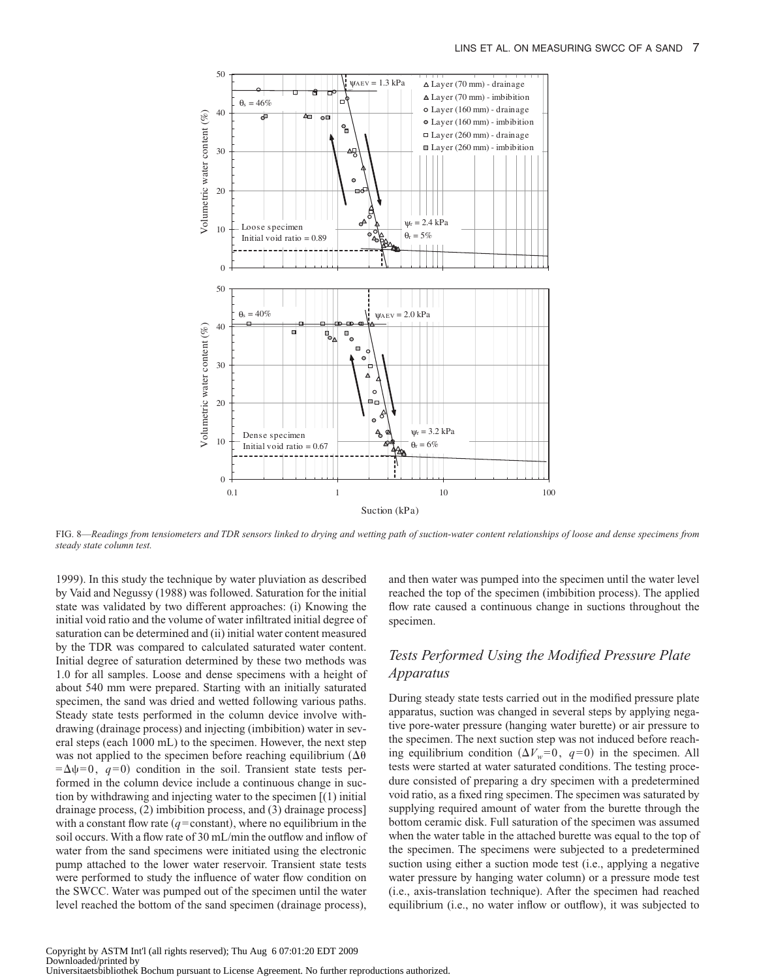

FIG. 8—*Readings from tensiometers and TDR sensors linked to drying and wetting path of suction-water content relationships of loose and dense specimens from steady state column test.*

1999). In this study the technique by water pluviation as described by Vaid and Negussy (1988) was followed. Saturation for the initial state was validated by two different approaches: (i) Knowing the initial void ratio and the volume of water infiltrated initial degree of saturation can be determined and (ii) initial water content measured by the TDR was compared to calculated saturated water content. Initial degree of saturation determined by these two methods was 1.0 for all samples. Loose and dense specimens with a height of about 540 mm were prepared. Starting with an initially saturated specimen, the sand was dried and wetted following various paths. Steady state tests performed in the column device involve withdrawing (drainage process) and injecting (imbibition) water in several steps (each 1000 mL) to the specimen. However, the next step was not applied to the specimen before reaching equilibrium ( $\Delta\theta$  $=\Delta \psi = 0$ ,  $q=0$ ) condition in the soil. Transient state tests performed in the column device include a continuous change in suction by withdrawing and injecting water to the specimen [(1) initial drainage process, (2) imbibition process, and (3) drainage process] with a constant flow rate  $(q=constant)$ , where no equilibrium in the soil occurs. With a flow rate of 30 mL/min the outflow and inflow of water from the sand specimens were initiated using the electronic pump attached to the lower water reservoir. Transient state tests were performed to study the influence of water flow condition on the SWCC. Water was pumped out of the specimen until the water level reached the bottom of the sand specimen (drainage process),

and then water was pumped into the specimen until the water level reached the top of the specimen (imbibition process). The applied flow rate caused a continuous change in suctions throughout the specimen.

## *Tests Performed Using the Modified Pressure Plate Apparatus*

During steady state tests carried out in the modified pressure plate apparatus, suction was changed in several steps by applying negative pore-water pressure (hanging water burette) or air pressure to the specimen. The next suction step was not induced before reaching equilibrium condition  $(\Delta V_w = 0, q = 0)$  in the specimen. All tests were started at water saturated conditions. The testing procedure consisted of preparing a dry specimen with a predetermined void ratio, as a fixed ring specimen. The specimen was saturated by supplying required amount of water from the burette through the bottom ceramic disk. Full saturation of the specimen was assumed when the water table in the attached burette was equal to the top of the specimen. The specimens were subjected to a predetermined suction using either a suction mode test (i.e., applying a negative water pressure by hanging water column) or a pressure mode test (i.e., axis-translation technique). After the specimen had reached equilibrium (i.e., no water inflow or outflow), it was subjected to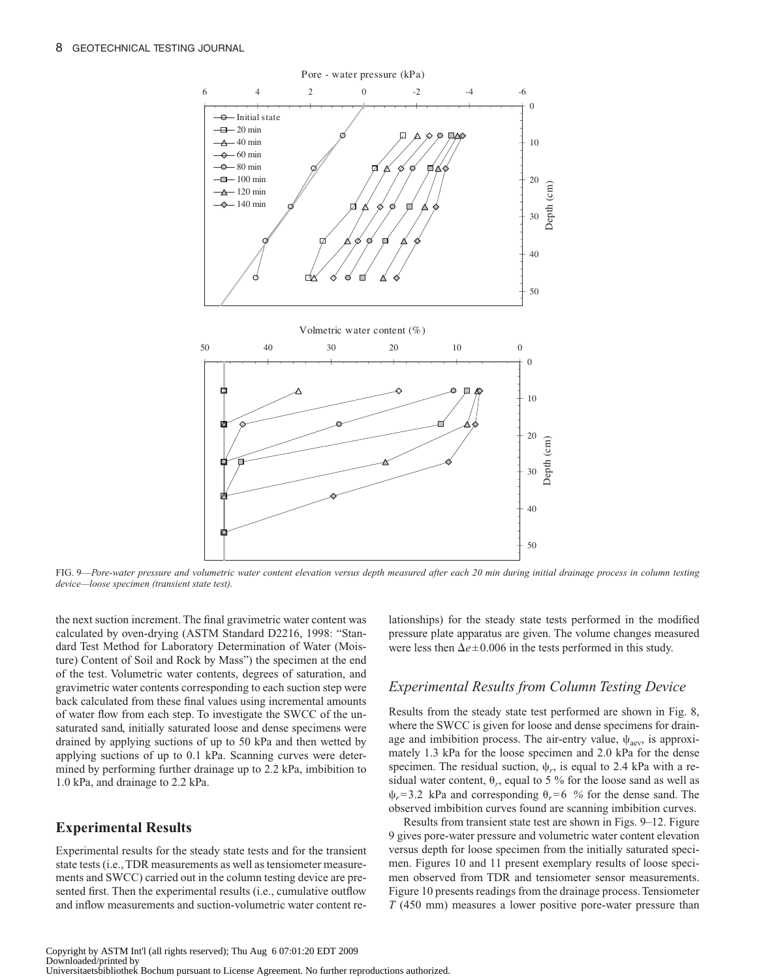![](_page_7_Figure_1.jpeg)

FIG. 9—*Pore-water pressure and volumetric water content elevation versus depth measured after each 20 min during initial drainage process in column testing device—loose specimen (transient state test).*

the next suction increment. The final gravimetric water content was calculated by oven-drying (ASTM Standard D2216, 1998: "Standard Test Method for Laboratory Determination of Water (Moisture) Content of Soil and Rock by Mass") the specimen at the end of the test. Volumetric water contents, degrees of saturation, and gravimetric water contents corresponding to each suction step were back calculated from these final values using incremental amounts of water flow from each step. To investigate the SWCC of the unsaturated sand, initially saturated loose and dense specimens were drained by applying suctions of up to 50 kPa and then wetted by applying suctions of up to 0.1 kPa. Scanning curves were determined by performing further drainage up to 2.2 kPa, imbibition to 1.0 kPa, and drainage to 2.2 kPa.

## **Experimental Results**

Experimental results for the steady state tests and for the transient state tests (i.e., TDR measurements as well as tensiometer measurements and SWCC) carried out in the column testing device are presented first. Then the experimental results (i.e., cumulative outflow and inflow measurements and suction-volumetric water content relationships) for the steady state tests performed in the modified pressure plate apparatus are given. The volume changes measured were less then  $\Delta e \pm 0.006$  in the tests performed in this study.

#### *Experimental Results from Column Testing Device*

Results from the steady state test performed are shown in Fig. 8, where the SWCC is given for loose and dense specimens for drainage and imbibition process. The air-entry value,  $\psi_{\text{aev}}$ , is approximately 1.3 kPa for the loose specimen and 2.0 kPa for the dense specimen. The residual suction,  $\psi_r$ , is equal to 2.4 kPa with a residual water content,  $\theta_r$ , equal to 5 % for the loose sand as well as  $\psi_r$ =3.2 kPa and corresponding  $\theta_r$ =6 % for the dense sand. The observed imbibition curves found are scanning imbibition curves.

Results from transient state test are shown in Figs. 9–12. Figure 9 gives pore-water pressure and volumetric water content elevation versus depth for loose specimen from the initially saturated specimen. Figures 10 and 11 present exemplary results of loose specimen observed from TDR and tensiometer sensor measurements. Figure 10 presents readings from the drainage process. Tensiometer *T* (450 mm) measures a lower positive pore-water pressure than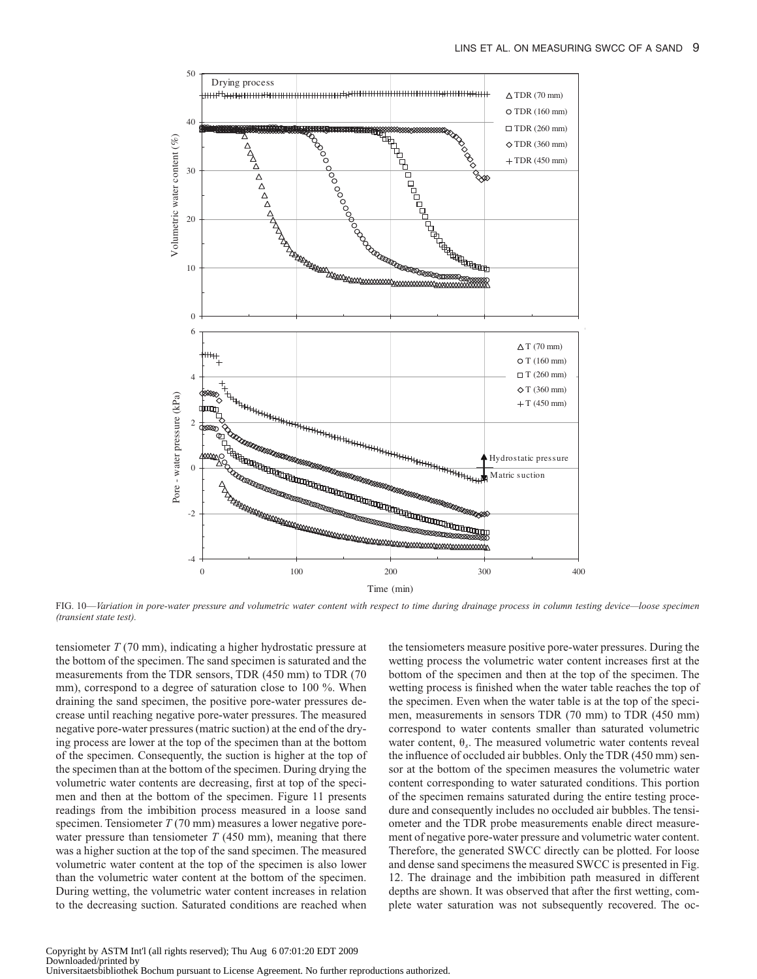![](_page_8_Figure_1.jpeg)

FIG. 10—*Variation in pore-water pressure and volumetric water content with respect to time during drainage process in column testing device—loose specimen (transient state test).*

tensiometer *T* (70 mm), indicating a higher hydrostatic pressure at the bottom of the specimen. The sand specimen is saturated and the measurements from the TDR sensors, TDR (450 mm) to TDR (70 mm), correspond to a degree of saturation close to 100 %. When draining the sand specimen, the positive pore-water pressures decrease until reaching negative pore-water pressures. The measured negative pore-water pressures (matric suction) at the end of the drying process are lower at the top of the specimen than at the bottom of the specimen. Consequently, the suction is higher at the top of the specimen than at the bottom of the specimen. During drying the volumetric water contents are decreasing, first at top of the specimen and then at the bottom of the specimen. Figure 11 presents readings from the imbibition process measured in a loose sand specimen. Tensiometer *T* (70 mm) measures a lower negative porewater pressure than tensiometer  $T(450 \text{ mm})$ , meaning that there was a higher suction at the top of the sand specimen. The measured volumetric water content at the top of the specimen is also lower than the volumetric water content at the bottom of the specimen. During wetting, the volumetric water content increases in relation to the decreasing suction. Saturated conditions are reached when

the tensiometers measure positive pore-water pressures. During the wetting process the volumetric water content increases first at the bottom of the specimen and then at the top of the specimen. The wetting process is finished when the water table reaches the top of the specimen. Even when the water table is at the top of the specimen, measurements in sensors TDR (70 mm) to TDR (450 mm) correspond to water contents smaller than saturated volumetric water content,  $\theta_s$ . The measured volumetric water contents reveal the influence of occluded air bubbles. Only the TDR (450 mm) sensor at the bottom of the specimen measures the volumetric water content corresponding to water saturated conditions. This portion of the specimen remains saturated during the entire testing procedure and consequently includes no occluded air bubbles. The tensiometer and the TDR probe measurements enable direct measurement of negative pore-water pressure and volumetric water content. Therefore, the generated SWCC directly can be plotted. For loose and dense sand specimens the measured SWCC is presented in Fig. 12. The drainage and the imbibition path measured in different depths are shown. It was observed that after the first wetting, complete water saturation was not subsequently recovered. The oc-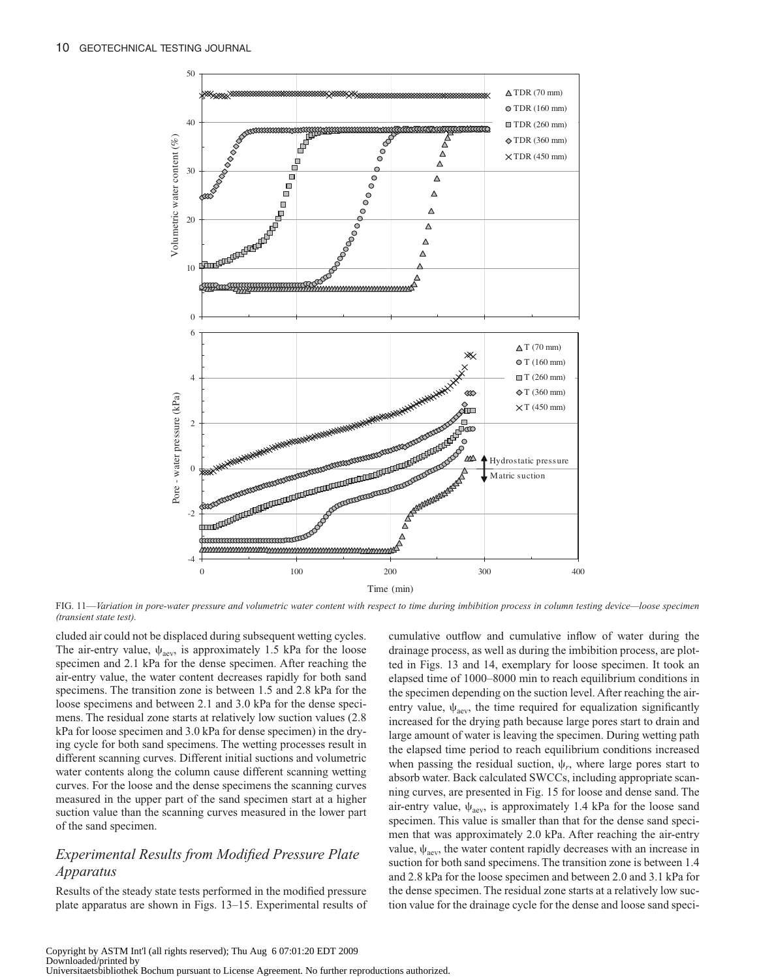![](_page_9_Figure_1.jpeg)

FIG. 11—*Variation in pore-water pressure and volumetric water content with respect to time during imbibition process in column testing device—loose specimen (transient state test).*

cluded air could not be displaced during subsequent wetting cycles. The air-entry value,  $\psi_{\text{aev}}$ , is approximately 1.5 kPa for the loose specimen and 2.1 kPa for the dense specimen. After reaching the air-entry value, the water content decreases rapidly for both sand specimens. The transition zone is between 1.5 and 2.8 kPa for the loose specimens and between 2.1 and 3.0 kPa for the dense specimens. The residual zone starts at relatively low suction values (2.8 kPa for loose specimen and 3.0 kPa for dense specimen) in the drying cycle for both sand specimens. The wetting processes result in different scanning curves. Different initial suctions and volumetric water contents along the column cause different scanning wetting curves. For the loose and the dense specimens the scanning curves measured in the upper part of the sand specimen start at a higher suction value than the scanning curves measured in the lower part of the sand specimen.

## *Experimental Results from Modified Pressure Plate Apparatus*

Results of the steady state tests performed in the modified pressure plate apparatus are shown in Figs. 13–15. Experimental results of cumulative outflow and cumulative inflow of water during the drainage process, as well as during the imbibition process, are plotted in Figs. 13 and 14, exemplary for loose specimen. It took an elapsed time of 1000–8000 min to reach equilibrium conditions in the specimen depending on the suction level. After reaching the airentry value,  $\psi_{\text{aev}}$ , the time required for equalization significantly increased for the drying path because large pores start to drain and large amount of water is leaving the specimen. During wetting path the elapsed time period to reach equilibrium conditions increased when passing the residual suction,  $\psi_r$ , where large pores start to absorb water. Back calculated SWCCs, including appropriate scanning curves, are presented in Fig. 15 for loose and dense sand. The air-entry value,  $\psi_{\text{aev}}$ , is approximately 1.4 kPa for the loose sand specimen. This value is smaller than that for the dense sand specimen that was approximately 2.0 kPa. After reaching the air-entry value,  $\psi_{\text{aev}}$ , the water content rapidly decreases with an increase in suction for both sand specimens. The transition zone is between 1.4 and 2.8 kPa for the loose specimen and between 2.0 and 3.1 kPa for the dense specimen. The residual zone starts at a relatively low suction value for the drainage cycle for the dense and loose sand speci-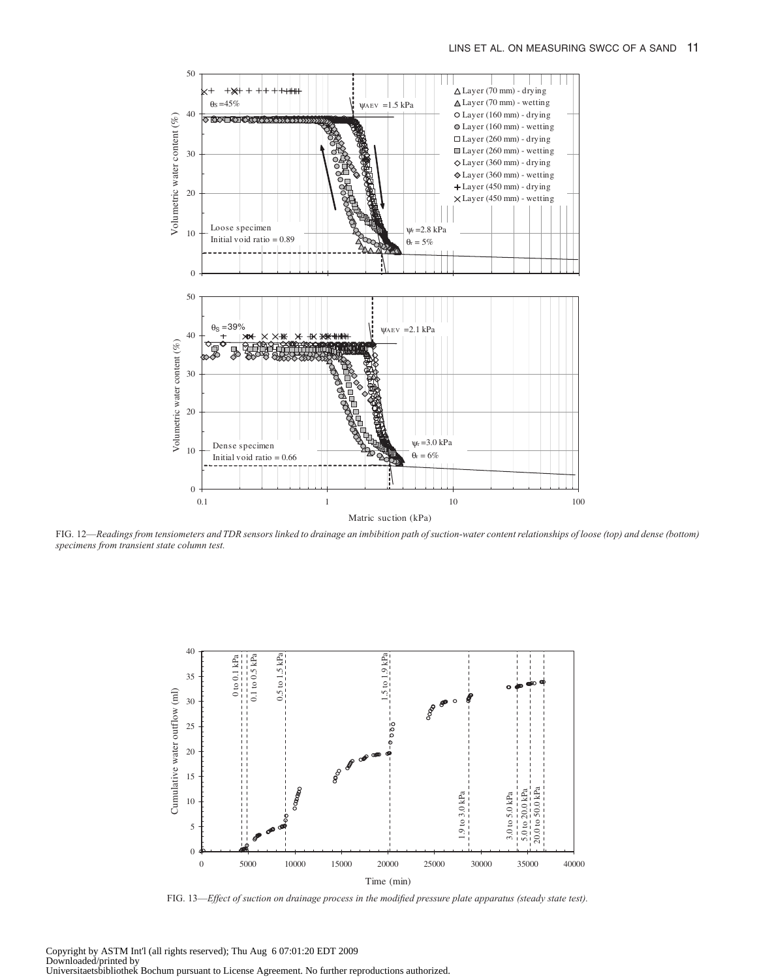![](_page_10_Figure_1.jpeg)

FIG. 12—*Readings from tensiometers and TDR sensors linked to drainage an imbibition path of suction-water content relationships of loose (top) and dense (bottom) specimens from transient state column test.*

![](_page_10_Figure_3.jpeg)

FIG. 13—*Effect of suction on drainage process in the modified pressure plate apparatus (steady state test).*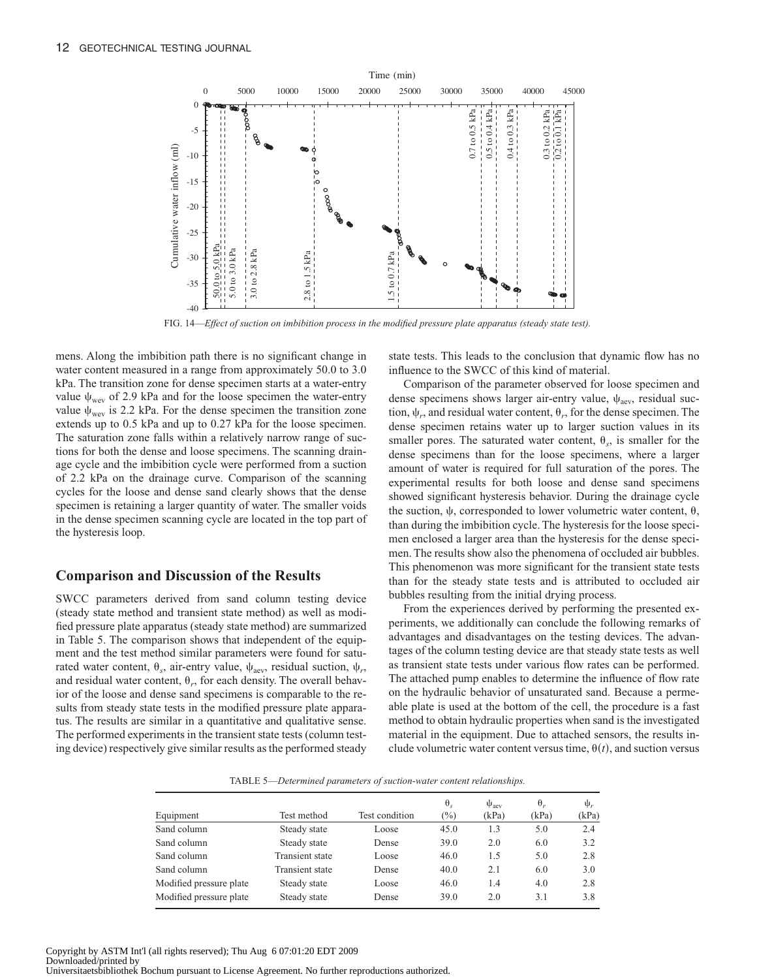![](_page_11_Figure_1.jpeg)

FIG. 14—*Effect of suction on imbibition process in the modified pressure plate apparatus (steady state test).*

mens. Along the imbibition path there is no significant change in water content measured in a range from approximately 50.0 to 3.0 kPa. The transition zone for dense specimen starts at a water-entry value  $\psi_{\text{wev}}$  of 2.9 kPa and for the loose specimen the water-entry value  $\psi_{\text{wey}}$  is 2.2 kPa. For the dense specimen the transition zone extends up to 0.5 kPa and up to 0.27 kPa for the loose specimen. The saturation zone falls within a relatively narrow range of suctions for both the dense and loose specimens. The scanning drainage cycle and the imbibition cycle were performed from a suction of 2.2 kPa on the drainage curve. Comparison of the scanning cycles for the loose and dense sand clearly shows that the dense specimen is retaining a larger quantity of water. The smaller voids in the dense specimen scanning cycle are located in the top part of the hysteresis loop.

#### **Comparison and Discussion of the Results**

SWCC parameters derived from sand column testing device (steady state method and transient state method) as well as modified pressure plate apparatus (steady state method) are summarized in Table 5. The comparison shows that independent of the equipment and the test method similar parameters were found for saturated water content,  $\theta_s$ , air-entry value,  $\psi_{\text{aev}}$ , residual suction,  $\psi_r$ , and residual water content,  $\theta_r$ , for each density. The overall behavior of the loose and dense sand specimens is comparable to the results from steady state tests in the modified pressure plate apparatus. The results are similar in a quantitative and qualitative sense. The performed experiments in the transient state tests (column testing device) respectively give similar results as the performed steady state tests. This leads to the conclusion that dynamic flow has no influence to the SWCC of this kind of material.

Comparison of the parameter observed for loose specimen and dense specimens shows larger air-entry value,  $\psi_{\text{aev}}$ , residual suction,  $\psi_r$ , and residual water content,  $\theta_r$ , for the dense specimen. The dense specimen retains water up to larger suction values in its smaller pores. The saturated water content,  $\theta_s$ , is smaller for the dense specimens than for the loose specimens, where a larger amount of water is required for full saturation of the pores. The experimental results for both loose and dense sand specimens showed significant hysteresis behavior. During the drainage cycle the suction,  $\psi$ , corresponded to lower volumetric water content,  $\theta$ , than during the imbibition cycle. The hysteresis for the loose specimen enclosed a larger area than the hysteresis for the dense specimen. The results show also the phenomena of occluded air bubbles. This phenomenon was more significant for the transient state tests than for the steady state tests and is attributed to occluded air bubbles resulting from the initial drying process.

From the experiences derived by performing the presented experiments, we additionally can conclude the following remarks of advantages and disadvantages on the testing devices. The advantages of the column testing device are that steady state tests as well as transient state tests under various flow rates can be performed. The attached pump enables to determine the influence of flow rate on the hydraulic behavior of unsaturated sand. Because a permeable plate is used at the bottom of the cell, the procedure is a fast method to obtain hydraulic properties when sand is the investigated material in the equipment. Due to attached sensors, the results include volumetric water content versus time,  $\theta(t)$ , and suction versus

TABLE 5—*Determined parameters of suction-water content relationships.*

|                         |                        |                | $\theta_s$ | $\Psi_{\text{aev}}$ | $\theta$ . | $\Psi_r$ |
|-------------------------|------------------------|----------------|------------|---------------------|------------|----------|
| Equipment               | Test method            | Test condition | $(\%)$     | (kPa)               | (kPa)      | (kPa)    |
| Sand column             | Steady state           | Loose          | 45.0       | 1.3                 | 5.0        | 2.4      |
| Sand column             | Steady state           | Dense          | 39.0       | 2.0                 | 6.0        | 3.2      |
| Sand column             | <b>Transient state</b> | Loose          | 46.0       | 1.5                 | 5.0        | 2.8      |
| Sand column             | <b>Transient state</b> | Dense          | 40.0       | 2.1                 | 6.0        | 3.0      |
| Modified pressure plate | Steady state           | Loose          | 46.0       | 1.4                 | 4.0        | 2.8      |
| Modified pressure plate | Steady state           | Dense          | 39.0       | 2.0                 | 3.1        | 3.8      |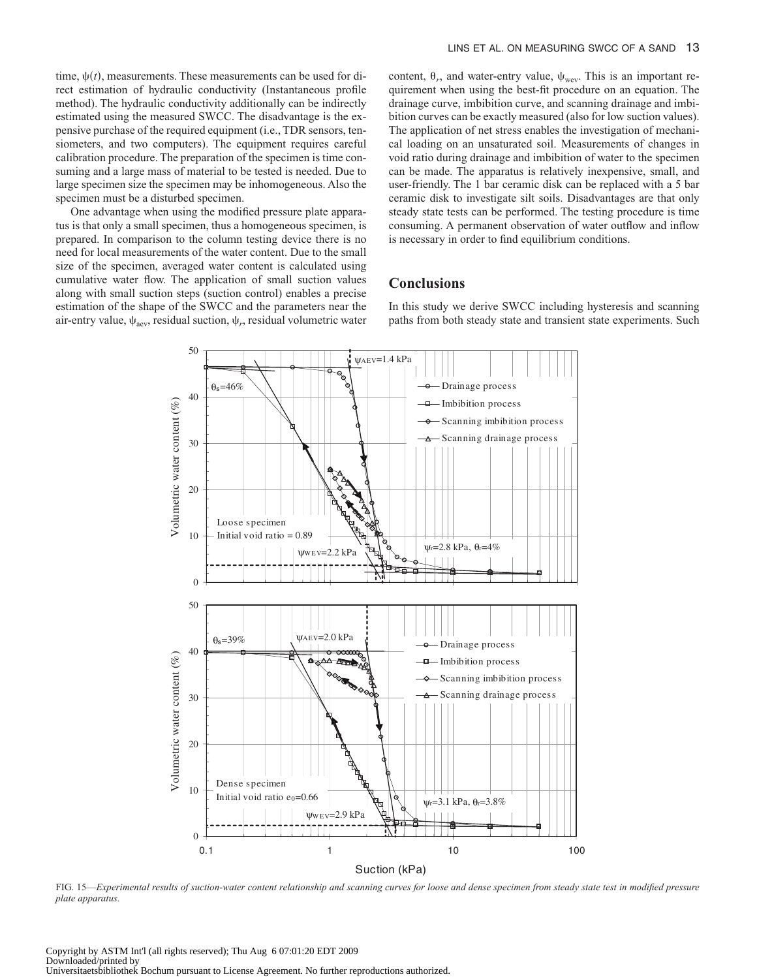time,  $\psi(t)$ , measurements. These measurements can be used for direct estimation of hydraulic conductivity (Instantaneous profile method). The hydraulic conductivity additionally can be indirectly estimated using the measured SWCC. The disadvantage is the expensive purchase of the required equipment (i.e., TDR sensors, tensiometers, and two computers). The equipment requires careful calibration procedure. The preparation of the specimen is time consuming and a large mass of material to be tested is needed. Due to large specimen size the specimen may be inhomogeneous. Also the specimen must be a disturbed specimen.

One advantage when using the modified pressure plate apparatus is that only a small specimen, thus a homogeneous specimen, is prepared. In comparison to the column testing device there is no need for local measurements of the water content. Due to the small size of the specimen, averaged water content is calculated using cumulative water flow. The application of small suction values along with small suction steps (suction control) enables a precise estimation of the shape of the SWCC and the parameters near the air-entry value,  $\psi_{\text{aev}}$ , residual suction,  $\psi_r$ , residual volumetric water

content,  $\theta_r$ , and water-entry value,  $\psi_{\text{wev}}$ . This is an important requirement when using the best-fit procedure on an equation. The drainage curve, imbibition curve, and scanning drainage and imbibition curves can be exactly measured (also for low suction values). The application of net stress enables the investigation of mechanical loading on an unsaturated soil. Measurements of changes in void ratio during drainage and imbibition of water to the specimen can be made. The apparatus is relatively inexpensive, small, and user-friendly. The 1 bar ceramic disk can be replaced with a 5 bar ceramic disk to investigate silt soils. Disadvantages are that only steady state tests can be performed. The testing procedure is time consuming. A permanent observation of water outflow and inflow is necessary in order to find equilibrium conditions.

#### **Conclusions**

In this study we derive SWCC including hysteresis and scanning paths from both steady state and transient state experiments. Such

![](_page_12_Figure_6.jpeg)

FIG. 15—*Experimental results of suction-water content relationship and scanning curves for loose and dense specimen from steady state test in modified pressure plate apparatus.*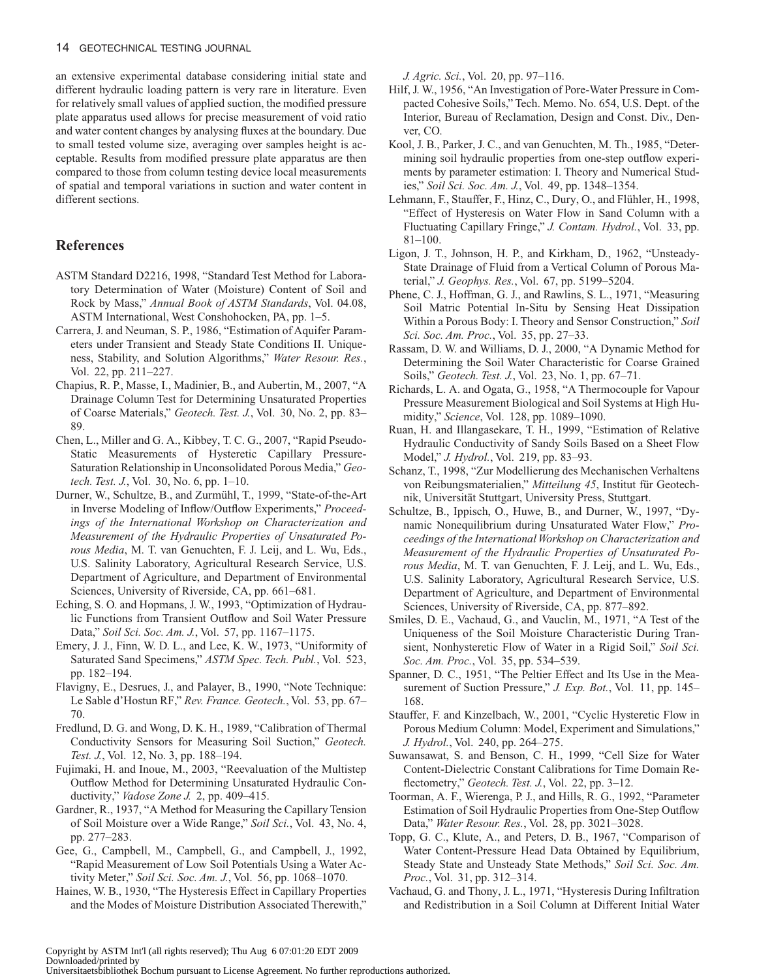an extensive experimental database considering initial state and different hydraulic loading pattern is very rare in literature. Even for relatively small values of applied suction, the modified pressure plate apparatus used allows for precise measurement of void ratio and water content changes by analysing fluxes at the boundary. Due to small tested volume size, averaging over samples height is acceptable. Results from modified pressure plate apparatus are then compared to those from column testing device local measurements of spatial and temporal variations in suction and water content in different sections.

## **References**

- ASTM Standard D2216, 1998, "Standard Test Method for Laboratory Determination of Water (Moisture) Content of Soil and Rock by Mass," *Annual Book of ASTM Standards*, Vol. 04.08, ASTM International, West Conshohocken, PA, pp. 1–5.
- Carrera, J. and Neuman, S. P., 1986, "Estimation of Aquifer Parameters under Transient and Steady State Conditions II. Uniqueness, Stability, and Solution Algorithms," *[Water Resour. Res.](http://dx.doi.org/10.1029/WR022i002p00211)*, Vol. 22, pp. 211–227.
- Chapius, R. P., Masse, I., Madinier, B., and Aubertin, M., 2007, "A Drainage Column Test for Determining Unsaturated Properties of Coarse Materials," *Geotech. Test. J.*, Vol. 30, No. 2, pp. 83– 89.
- Chen, L., Miller and G. A., Kibbey, T. C. G., 2007, "Rapid Pseudo-Static Measurements of Hysteretic Capillary Pressure-Saturation Relationship in Unconsolidated Porous Media," *Geotech. Test. J.*, Vol. 30, No. 6, pp. 1–10.
- Durner, W., Schultze, B., and Zurmühl, T., 1999, "State-of-the-Art in Inverse Modeling of Inflow/Outflow Experiments," *Proceedings of the International Workshop on Characterization and Measurement of the Hydraulic Properties of Unsaturated Porous Media*, M. T. van Genuchten, F. J. Leij, and L. Wu, Eds., U.S. Salinity Laboratory, Agricultural Research Service, U.S. Department of Agriculture, and Department of Environmental Sciences, University of Riverside, CA, pp. 661–681.
- Eching, S. O. and Hopmans, J. W., 1993, "Optimization of Hydraulic Functions from Transient Outflow and Soil Water Pressure Data," *Soil Sci. Soc. Am. J.*, Vol. 57, pp. 1167–1175.
- Emery, J. J., Finn, W. D. L., and Lee, K. W., 1973, "Uniformity of Saturated Sand Specimens," *ASTM Spec. Tech. Publ.*, Vol. 523, pp. 182–194.
- Flavigny, E., Desrues, J., and Palayer, B., 1990, "Note Technique: Le Sable d'Hostun RF," *Rev. France. Geotech.*, Vol. 53, pp. 67– 70.
- Fredlund, D. G. and Wong, D. K. H., 1989, "Calibration of Thermal Conductivity Sensors for Measuring Soil Suction," *[Geotech.](http://dx.doi.org/10.1520/GTJ10967J) [Test. J.](http://dx.doi.org/10.1520/GTJ10967J)*, Vol. 12, No. 3, pp. 188–194.
- Fujimaki, H. and Inoue, M., 2003, "Reevaluation of the Multistep Outflow Method for Determining Unsaturated Hydraulic Conductivity," *[Vadose Zone J.](http://dx.doi.org/10.2113/2.3.400)* 2, pp. 409–415.
- Gardner, R., 1937, "A Method for Measuring the Capillary Tension of Soil Moisture over a Wide Range," *[Soil Sci.](http://dx.doi.org/10.1097/00010694-193704000-00004)*, Vol. 43, No. 4, pp. 277–283.
- Gee, G., Campbell, M., Campbell, G., and Campbell, J., 1992, "Rapid Measurement of Low Soil Potentials Using a Water Activity Meter," *Soil Sci. Soc. Am. J.*, Vol. 56, pp. 1068–1070.
- Haines, W. B., 1930, "The Hysteresis Effect in Capillary Properties and the Modes of Moisture Distribution Associated Therewith,"

*[J. Agric. Sci.](http://dx.doi.org/10.1017/S002185960008864X)*, Vol. 20, pp. 97–116.

- Hilf, J. W., 1956, "An Investigation of Pore-Water Pressure in Compacted Cohesive Soils," Tech. Memo. No. 654, U.S. Dept. of the Interior, Bureau of Reclamation, Design and Const. Div., Denver, CO.
- Kool, J. B., Parker, J. C., and van Genuchten, M. Th., 1985, "Determining soil hydraulic properties from one-step outflow experiments by parameter estimation: I. Theory and Numerical Studies," *Soil Sci. Soc. Am. J.*, Vol. 49, pp. 1348–1354.
- Lehmann, F., Stauffer, F., Hinz, C., Dury, O., and Flühler, H., 1998, "Effect of Hysteresis on Water Flow in Sand Column with a Fluctuating Capillary Fringe," *[J. Contam. Hydrol.](http://dx.doi.org/10.1016/S0169-7722(98)00066-7)*, Vol. 33, pp. 81–100.
- Ligon, J. T., Johnson, H. P., and Kirkham, D., 1962, "Unsteady-State Drainage of Fluid from a Vertical Column of Porous Material," *[J. Geophys. Res.](http://dx.doi.org/10.1029/JZ067i013p05199)*, Vol. 67, pp. 5199–5204.
- Phene, C. J., Hoffman, G. J., and Rawlins, S. L., 1971, "Measuring Soil Matric Potential In-Situ by Sensing Heat Dissipation Within a Porous Body: I. Theory and Sensor Construction," *Soil Sci. Soc. Am. Proc.*, Vol. 35, pp. 27–33.
- Rassam, D. W. and Williams, D. J., 2000, "A Dynamic Method for Determining the Soil Water Characteristic for Coarse Grained Soils," *[Geotech. Test. J.](http://dx.doi.org/10.1520/GTJ11124J)*, Vol. 23, No. 1, pp. 67–71.
- Richards, L. A. and Ogata, G., 1958, "A Thermocouple for Vapour Pressure Measurement Biological and Soil Systems at High Humidity," *[Science](http://dx.doi.org/10.1126/science.128.3331.1089)*, Vol. 128, pp. 1089–1090.
- Ruan, H. and Illangasekare, T. H., 1999, "Estimation of Relative Hydraulic Conductivity of Sandy Soils Based on a Sheet Flow Model," *[J. Hydrol.](http://dx.doi.org/10.1016/S0022-1694(99)00047-5)*, Vol. 219, pp. 83–93.
- Schanz, T., 1998, "Zur Modellierung des Mechanischen Verhaltens von Reibungsmaterialien," *Mitteilung 45*, Institut für Geotechnik, Universität Stuttgart, University Press, Stuttgart.
- Schultze, B., Ippisch, O., Huwe, B., and Durner, W., 1997, "Dynamic Nonequilibrium during Unsaturated Water Flow," *Proceedings of the InternationalWorkshop on Characterization and Measurement of the Hydraulic Properties of Unsaturated Porous Media*, M. T. van Genuchten, F. J. Leij, and L. Wu, Eds., U.S. Salinity Laboratory, Agricultural Research Service, U.S. Department of Agriculture, and Department of Environmental Sciences, University of Riverside, CA, pp. 877–892.
- Smiles, D. E., Vachaud, G., and Vauclin, M., 1971, "A Test of the Uniqueness of the Soil Moisture Characteristic During Transient, Nonhysteretic Flow of Water in a Rigid Soil," *Soil Sci. Soc. Am. Proc.*, Vol. 35, pp. 534–539.
- Spanner, D. C., 1951, "The Peltier Effect and Its Use in the Measurement of Suction Pressure," *[J. Exp. Bot.](http://dx.doi.org/10.1093/jxb/2.2.145)*, Vol. 11, pp. 145– 168.
- Stauffer, F. and Kinzelbach, W., 2001, "Cyclic Hysteretic Flow in Porous Medium Column: Model, Experiment and Simulations," *[J. Hydrol.](http://dx.doi.org/10.1016/S0022-1694(00)00382-6)*, Vol. 240, pp. 264–275.
- Suwansawat, S. and Benson, C. H., 1999, "Cell Size for Water Content-Dielectric Constant Calibrations for Time Domain Reflectometry," *[Geotech. Test. J.](http://dx.doi.org/10.1520/GTJ11311J)*, Vol. 22, pp. 3–12.
- Toorman, A. F., Wierenga, P. J., and Hills, R. G., 1992, "Parameter Estimation of Soil Hydraulic Properties from One-Step Outflow Data," *[Water Resour. Res.](http://dx.doi.org/10.1029/92WR01272)*, Vol. 28, pp. 3021–3028.
- Topp, G. C., Klute, A., and Peters, D. B., 1967, "Comparison of Water Content-Pressure Head Data Obtained by Equilibrium, Steady State and Unsteady State Methods," *Soil Sci. Soc. Am. Proc.*, Vol. 31, pp. 312–314.
- Vachaud, G. and Thony, J. L., 1971, "Hysteresis During Infiltration and Redistribution in a Soil Column at Different Initial Water